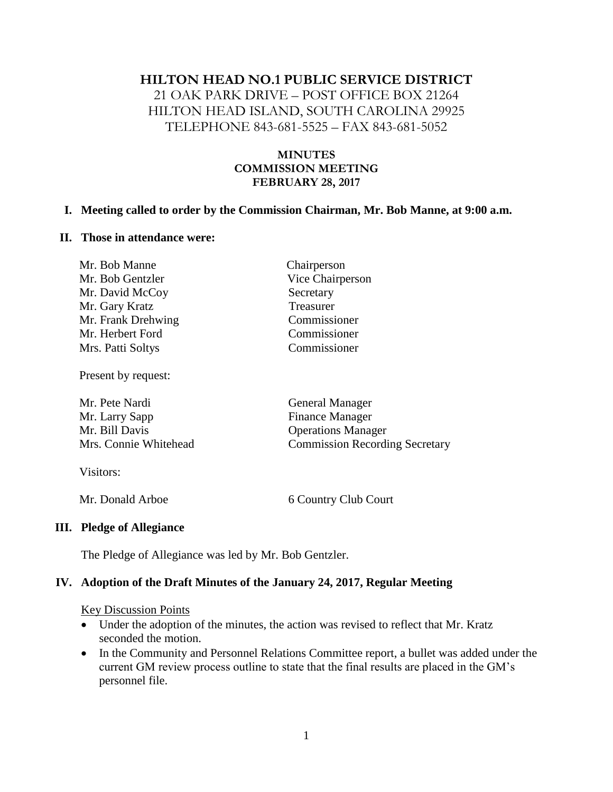#### **HILTON HEAD NO.1 PUBLIC SERVICE DISTRICT**

21 OAK PARK DRIVE – POST OFFICE BOX 21264 HILTON HEAD ISLAND, SOUTH CAROLINA 29925 TELEPHONE 843-681-5525 – FAX 843-681-5052

#### **MINUTES COMMISSION MEETING FEBRUARY 28, 2017**

#### **I. Meeting called to order by the Commission Chairman, Mr. Bob Manne, at 9:00 a.m.**

#### **II. Those in attendance were:**

| Mr. Bob Manne      | Chairperson      |
|--------------------|------------------|
| Mr. Bob Gentzler   | Vice Chairperson |
| Mr. David McCoy    | Secretary        |
| Mr. Gary Kratz     | Treasurer        |
| Mr. Frank Drehwing | Commissioner     |
| Mr. Herbert Ford   | Commissioner     |
| Mrs. Patti Soltys  | Commissioner     |
|                    |                  |

Present by request:

| Mr. Pete Nardi        | <b>General Manager</b>                |
|-----------------------|---------------------------------------|
| Mr. Larry Sapp        | <b>Finance Manager</b>                |
| Mr. Bill Davis        | <b>Operations Manager</b>             |
| Mrs. Connie Whitehead | <b>Commission Recording Secretary</b> |
|                       |                                       |

Visitors:

Mr. Donald Arboe 6 Country Club Court

#### **III. Pledge of Allegiance**

The Pledge of Allegiance was led by Mr. Bob Gentzler.

#### **IV. Adoption of the Draft Minutes of the January 24, 2017, Regular Meeting**

#### Key Discussion Points

- Under the adoption of the minutes, the action was revised to reflect that Mr. Kratz seconded the motion.
- In the Community and Personnel Relations Committee report, a bullet was added under the current GM review process outline to state that the final results are placed in the GM's personnel file.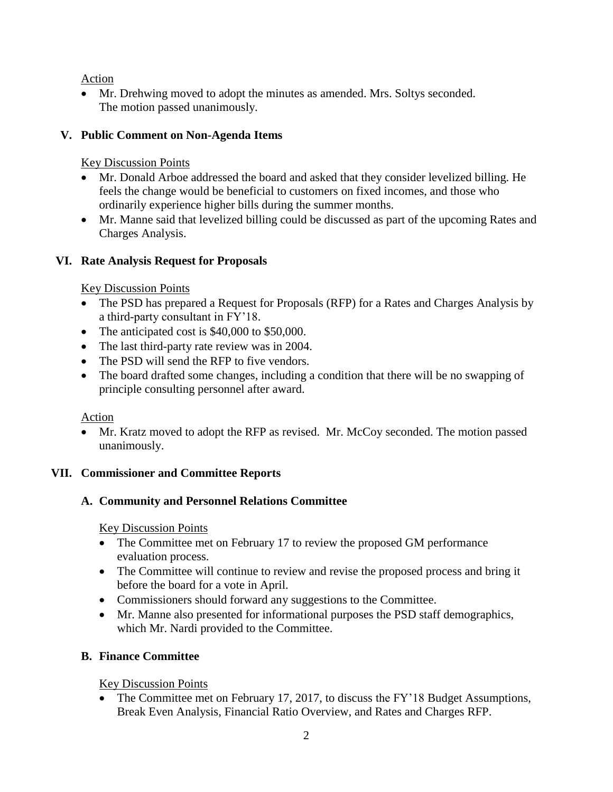Action

• Mr. Drehwing moved to adopt the minutes as amended. Mrs. Soltys seconded. The motion passed unanimously.

# **V. Public Comment on Non-Agenda Items**

# Key Discussion Points

- Mr. Donald Arboe addressed the board and asked that they consider levelized billing. He feels the change would be beneficial to customers on fixed incomes, and those who ordinarily experience higher bills during the summer months.
- Mr. Manne said that levelized billing could be discussed as part of the upcoming Rates and Charges Analysis.

# **VI. Rate Analysis Request for Proposals**

# Key Discussion Points

- The PSD has prepared a Request for Proposals (RFP) for a Rates and Charges Analysis by a third-party consultant in FY'18.
- The anticipated cost is \$40,000 to \$50,000.
- The last third-party rate review was in 2004.
- The PSD will send the RFP to five vendors.
- The board drafted some changes, including a condition that there will be no swapping of principle consulting personnel after award.

## Action

• Mr. Kratz moved to adopt the RFP as revised. Mr. McCoy seconded. The motion passed unanimously.

# **VII. Commissioner and Committee Reports**

# **A. Community and Personnel Relations Committee**

## Key Discussion Points

- The Committee met on February 17 to review the proposed GM performance evaluation process.
- The Committee will continue to review and revise the proposed process and bring it before the board for a vote in April.
- Commissioners should forward any suggestions to the Committee.
- Mr. Manne also presented for informational purposes the PSD staff demographics, which Mr. Nardi provided to the Committee.

# **B. Finance Committee**

Key Discussion Points

• The Committee met on February 17, 2017, to discuss the FY'18 Budget Assumptions, Break Even Analysis, Financial Ratio Overview, and Rates and Charges RFP.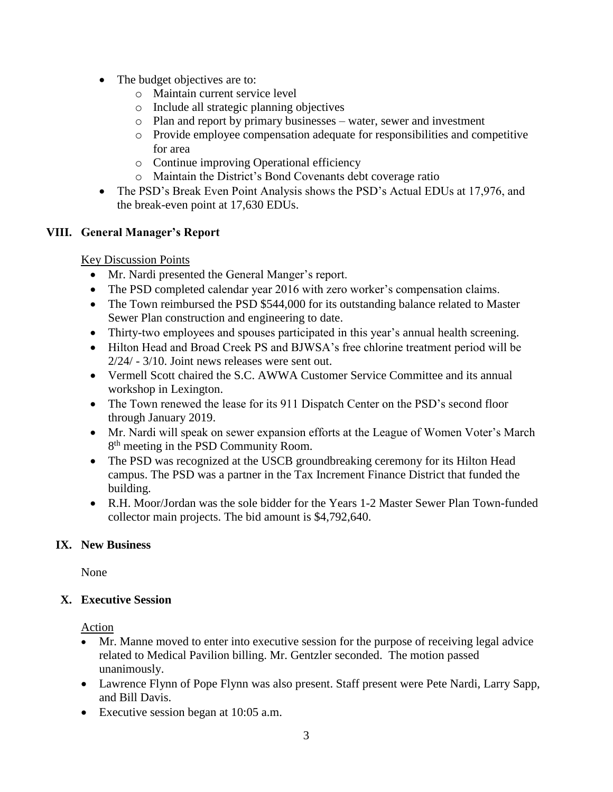- The budget objectives are to:
	- o Maintain current service level
	- o Include all strategic planning objectives
	- o Plan and report by primary businesses water, sewer and investment
	- o Provide employee compensation adequate for responsibilities and competitive for area
	- o Continue improving Operational efficiency
	- o Maintain the District's Bond Covenants debt coverage ratio
- The PSD's Break Even Point Analysis shows the PSD's Actual EDUs at 17,976, and the break-even point at 17,630 EDUs.

### **VIII. General Manager's Report**

Key Discussion Points

- Mr. Nardi presented the General Manger's report.
- The PSD completed calendar year 2016 with zero worker's compensation claims.
- The Town reimbursed the PSD \$544,000 for its outstanding balance related to Master Sewer Plan construction and engineering to date.
- Thirty-two employees and spouses participated in this year's annual health screening.
- Hilton Head and Broad Creek PS and BJWSA's free chlorine treatment period will be 2/24/ - 3/10. Joint news releases were sent out.
- Vermell Scott chaired the S.C. AWWA Customer Service Committee and its annual workshop in Lexington.
- The Town renewed the lease for its 911 Dispatch Center on the PSD's second floor through January 2019.
- Mr. Nardi will speak on sewer expansion efforts at the League of Women Voter's March 8<sup>th</sup> meeting in the PSD Community Room.
- The PSD was recognized at the USCB groundbreaking ceremony for its Hilton Head campus. The PSD was a partner in the Tax Increment Finance District that funded the building.
- R.H. Moor/Jordan was the sole bidder for the Years 1-2 Master Sewer Plan Town-funded collector main projects. The bid amount is \$4,792,640.

## **IX. New Business**

None

## **X. Executive Session**

Action

- Mr. Manne moved to enter into executive session for the purpose of receiving legal advice related to Medical Pavilion billing. Mr. Gentzler seconded. The motion passed unanimously.
- Lawrence Flynn of Pope Flynn was also present. Staff present were Pete Nardi, Larry Sapp, and Bill Davis.
- Executive session began at 10:05 a.m.